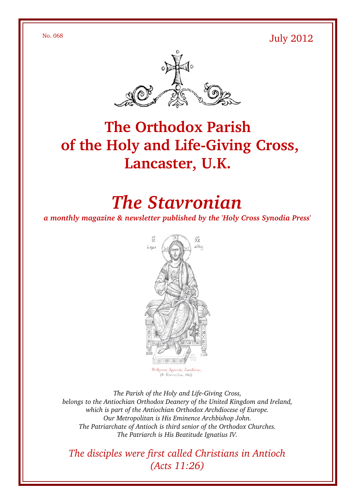No. 068 July 2012



## **The Orthodox Parish** of the Holy and Life-Giving Cross, **Lancaster, U.K.**

# *The Stavronian*

*a monthly magazine & newsletter published by the 'Holy Cross Synodia Press'*



The Parish of the Holy and Life-Giving Cross, *belongs to the Antiochian Orthodox Deanery of the United Kingdom and Ireland, which is part of the Antiochian Orthodox Archdiocese of Europe. Our Metropolitan is His Eminence Archbishop John. The Patriarchate of Antioch is third senior of the Orthodox Churches. The Patriarch is His Beatitude Ignatius IV.*

*The disciples were first called Christians in Antioch (Acts 11:26)*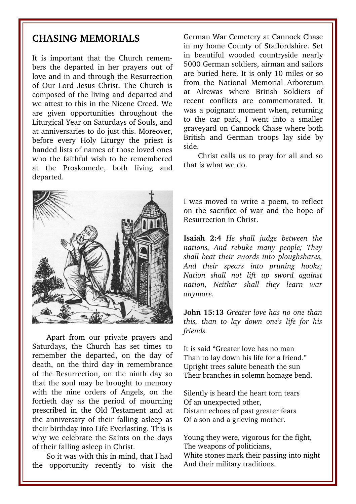#### **CHASING MEMORIALS**

It is important that the Church remembers the departed in her prayers out of love and in and through the Resurrection of Our Lord Jesus Christ. The Church is composed of the living and departed and we attest to this in the Nicene Creed. We are given opportunities throughout the Liturgical Year on Saturdays of Souls, and at anniversaries to do just this. Moreover, before every Holy Liturgy the priest is handed lists of names of those loved ones who the faithful wish to be remembered at the Proskomede, both living and departed.



Apart from our private prayers and Saturdays, the Church has set times to remember the departed, on the day of death, on the third day in remembrance of the Resurrection, on the ninth day so that the soul may be brought to memory with the nine orders of Angels, on the fortieth day as the period of mourning prescribed in the Old Testament and at the anniversary of their falling asleep as their birthday into Life Everlasting. This is why we celebrate the Saints on the days of their falling asleep in Christ.

So it was with this in mind, that I had the opportunity recently to visit the

German War Cemetery at Cannock Chase in my home County of Staffordshire. Set in beautiful wooded countryside nearly 5000 German soldiers, airman and sailors are buried here. It is only 10 miles or so from the National Memorial Arboretum at Alrewas where British Soldiers of recent conflicts are commemorated. It was a poignant moment when, returning to the car park, I went into a smaller graveyard on Cannock Chase where both British and German troops lay side by side.

Christ calls us to pray for all and so that is what we do.

I was moved to write a poem, to reflect on the sacrifice of war and the hope of Resurrection in Christ.

**Isaiah 2:4** *He shall judge between the nations, And rebuke many people; They shall beat their swords into ploughshares, And their spears into pruning hooks; Nation shall not lift up sword against nation, Neither shall they learn war anymore.* 

**John 15:13** *Greater love has no one than this, than to lay down one's life for his friends.* 

It is said "Greater love has no man Than to lay down his life for a friend." Upright trees salute beneath the sun Their branches in solemn homage bend.

Silently is heard the heart torn tears Of an unexpected other, Distant echoes of past greater fears Of a son and a grieving mother.

Young they were, vigorous for the fight, The weapons of politicians, White stones mark their passing into night And their military traditions.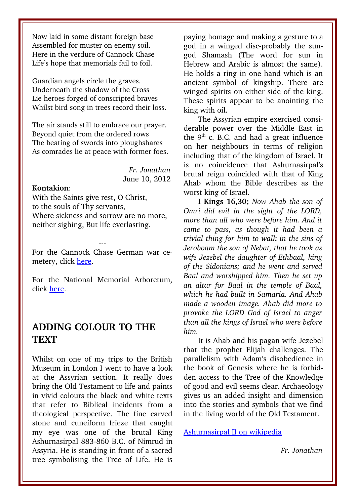Now laid in some distant foreign base Assembled for muster on enemy soil. Here in the verdure of Cannock Chase Life's hope that memorials fail to foil.

Guardian angels circle the graves. Underneath the shadow of the Cross Lie heroes forged of conscripted braves Whilst bird song in trees record their loss.

The air stands still to embrace our prayer. Beyond quiet from the ordered rows The beating of swords into ploughshares As comrades lie at peace with former foes.

> *Fr. Jonathan* June 10, 2012

#### **Kontakion**:

With the Saints give rest, O Christ, to the souls of Thy servants, Where sickness and sorrow are no more, neither sighing, But life everlasting.

---For the Cannock Chase German war cemetery, click [here.](http://en.wikipedia.org/wiki/Cannock_Chase_German_war_cemetery)

For the National Memorial Arboretum, click [here.](http://www.thenma.org.uk/)

#### **ADDING COLOUR TO THE TEXT**

Whilst on one of my trips to the British Museum in London I went to have a look at the Assyrian section. It really does bring the Old Testament to life and paints in vivid colours the black and white texts that refer to Biblical incidents from a theological perspective. The fine carved stone and cuneiform frieze that caught my eye was one of the brutal King Ashurnasirpal 883-860 B.C. of Nimrud in Assyria. He is standing in front of a sacred tree symbolising the Tree of Life. He is paying homage and making a gesture to a god in a winged disc-probably the sungod Shamash (The word for sun in Hebrew and Arabic is almost the same). He holds a ring in one hand which is an ancient symbol of kingship. There are winged spirits on either side of the king. These spirits appear to be anointing the king with oil.

The Assyrian empire exercised considerable power over the Middle East in the  $9<sup>th</sup>$  c. B.C. and had a great influence on her neighbours in terms of religion including that of the kingdom of Israel. It is no coincidence that Ashurnasirpal's brutal reign coincided with that of King Ahab whom the Bible describes as the worst king of Israel.

**I Kings 16,30;** *Now Ahab the son of Omri did evil in the sight of the LORD, more than all who were before him. And it came to pass, as though it had been a trivial thing for him to walk in the sins of Jeroboam the son of Nebat, that he took as wife Jezebel the daughter of Ethbaal, king of the Sidonians; and he went and served Baal and worshipped him. Then he set up an altar for Baal in the temple of Baal, which he had built in Samaria. And Ahab made a wooden image. Ahab did more to provoke the LORD God of Israel to anger than all the kings of Israel who were before him.*

It is Ahab and his pagan wife Jezebel that the prophet Elijah challenges. The parallelism with Adam's disobedience in the book of Genesis where he is forbidden access to the Tree of the Knowledge of good and evil seems clear. Archaeology gives us an added insight and dimension into the stories and symbols that we find in the living world of the Old Testament.

[Ashurnasirpal II on wikipedia](http://en.wikipedia.org/wiki/Ashurnasirpal_II)

*Fr. Jonathan*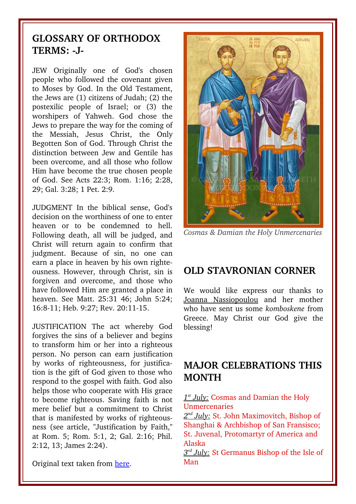#### **GLOSSARY OF ORTHODOX TERMS: J-**

JEW Originally one of God's chosen people who followed the covenant given to Moses by God. In the Old Testament, the Jews are (1) citizens of Judah; (2) the postexilic people of Israel; or  $(3)$  the worshipers of Yahweh. God chose the Jews to prepare the way for the coming of the Messiah, Jesus Christ, the Only Begotten Son of God. Through Christ the distinction between Jew and Gentile has been overcome, and all those who follow Him have become the true chosen people of God. See Acts 22:3; Rom. 1:16; 2:28, 29; Gal. 3:28; 1 Pet. 2:9.

JUDGMENT In the biblical sense, God's decision on the worthiness of one to enter heaven or to be condemned to hell. Following death, all will be judged, and Christ will return again to confirm that judgment. Because of sin, no one can earn a place in heaven by his own righteousness. However, through Christ, sin is forgiven and overcome, and those who have followed Him are granted a place in heaven. See Matt. 25:31 46; John 5:24; 16:8-11: Heb. 9:27: Rev. 20:11-15.

JUSTIFICATION The act whereby God forgives the sins of a believer and begins to transform him or her into a righteous person. No person can earn justification by works of righteousness, for justification is the gift of God given to those who respond to the gospel with faith. God also helps those who cooperate with His grace to become righteous. Saving faith is not mere belief but a commitment to Christ that is manifested by works of righteousness (see article, "Justification by Faith," at Rom. 5; Rom. 5:1, 2; Gal. 2:16; Phil. 2:12, 13; James 2:24).

Original text taken from [here.](http://www.antiochian.org/theology/glossary_of_orthodox_terminology.htm)



*Cosmas & Damian the Holy Unmercenaries*

#### **OLD STAVRONIAN CORNER**

We would like express our thanks to Joanna Nassiopoulou and her mother who have sent us some *komboskene* from Greece. May Christ our God give the blessing!

#### **MAJOR CELEBRATIONS THIS MONTH**

 *1 st July:* Cosmas and Damian the Holy Unmercenaries

 *2 nd July:* St. John Maximovitch, Bishop of Shanghai & Archbishop of San Fransisco; St. Juvenal, Protomartyr of America and Alaska

 *3 rd July:* St Germanus Bishop of the Isle of Man